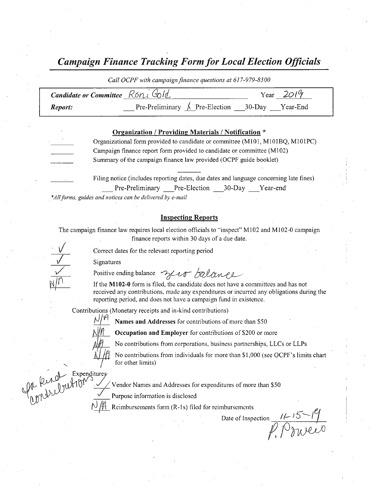Campaign Finance Tracking Form for Local Election Officials

Call OCPF with campaign finance questions at 617-979-8300 Candidate or Committee  $R6n\ell$   $\omega/d$  Year 2019 **Report:** Pre-Preliminary  $\uparrow$  Pre-Election 30-Day Year-End

#### Organization / Providing Materials / Notification

Organizational form provided to candidate or committee ( M101, M101BQ, M101PC) Campaign finance report form provided to candidate or committee ( M102) Summary of the campaign finance law provided( OCPF guide booklet)

> Filing notice ( includes reporting dates, due dates and language concerning late fines) Pre-Preliminary Pre-Election 30-Day Year-end

\*All forms, guides and notices can be delivered by e-mail

#### Inspecting Reports

The campaign finance law requires local election officials to "inspect" M102 and M102-0 campaign finance reports within 30 days of <sup>a</sup> due date.

Correct dates for the relevant reporting period

Signatures

l

10 i

Positive ending balance malero balance

If the M102-0 form is filed, the candidate does not have a committees and has not received- any contributions, made any expenditures or incurred any obligations during the reporting period, and does not have a campaign fund in existence.

Contributions ( Monetary receipts and in- kind contributions)

Names and Addresses for contributions of more than \$50

Occupation and Employer for contributions of \$200 or more

No contributions from corporations, business partnerships, LLCs or LLPs

No contributions from individuals for more than \$1,000 (see OCPF's limits chart for other limits)

Expenditur

v

Expenditures<br>21 F F Vendor Names and Addresses for expenditures of more than \$50

Purpose information is disclosed

Reimbursements form (R-1s) filed for reimbursements

Date of Inspection  $\frac{l^{2/5 - 1}}{l^{2/5}}$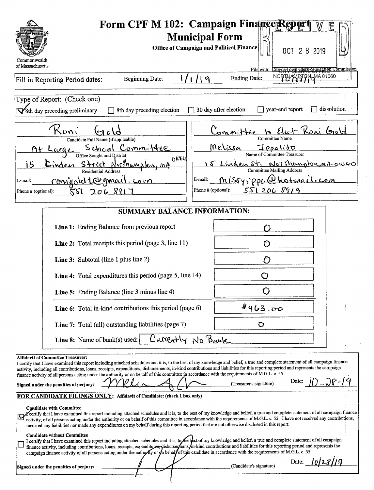| Commonwealth<br>of Massachusetts                                                                                                                                                                                                                                                                                                                                                                                                                                                                                                                                                                                                                                                                                                                                                                                                                                                                                                                                                                                                                                                                                                                                                                                                                                                                                                                                                                                                                                                                                                                                                                                                                                                                                                                                                                                                                                    | Form CPF M 102: Campaign FinancerRepo<br><b>Municipal Form</b><br><b>Office of Campaign and Political Finance</b><br>OCT 2 8 2019<br>File with: City or Town Clerk or Election Commission                                                            |  |  |  |
|---------------------------------------------------------------------------------------------------------------------------------------------------------------------------------------------------------------------------------------------------------------------------------------------------------------------------------------------------------------------------------------------------------------------------------------------------------------------------------------------------------------------------------------------------------------------------------------------------------------------------------------------------------------------------------------------------------------------------------------------------------------------------------------------------------------------------------------------------------------------------------------------------------------------------------------------------------------------------------------------------------------------------------------------------------------------------------------------------------------------------------------------------------------------------------------------------------------------------------------------------------------------------------------------------------------------------------------------------------------------------------------------------------------------------------------------------------------------------------------------------------------------------------------------------------------------------------------------------------------------------------------------------------------------------------------------------------------------------------------------------------------------------------------------------------------------------------------------------------------------|------------------------------------------------------------------------------------------------------------------------------------------------------------------------------------------------------------------------------------------------------|--|--|--|
| <b>Beginning Date:</b><br>1/1<br>Fill in Reporting Period dates:                                                                                                                                                                                                                                                                                                                                                                                                                                                                                                                                                                                                                                                                                                                                                                                                                                                                                                                                                                                                                                                                                                                                                                                                                                                                                                                                                                                                                                                                                                                                                                                                                                                                                                                                                                                                    | NORTHAMPTON MA 01060<br>Ending Date:<br>$\mathcal{Q}_1$                                                                                                                                                                                              |  |  |  |
| Type of Report: (Check one)<br>8th day preceding preliminary<br>8th day preceding election                                                                                                                                                                                                                                                                                                                                                                                                                                                                                                                                                                                                                                                                                                                                                                                                                                                                                                                                                                                                                                                                                                                                                                                                                                                                                                                                                                                                                                                                                                                                                                                                                                                                                                                                                                          | dissolution<br>year-end report<br>30 day after election                                                                                                                                                                                              |  |  |  |
| Koni<br>$\mathfrak{o}\mathfrak{c}$<br>Candidate Full Name (if applicable)<br><u>Committee</u><br>School<br>Large<br>Office Sought and District<br>6000<br>Street Northampton<br>15<br>Cinden<br>Residential Address<br>conigald1@gmail.com<br>E-mail:<br>206891<br>Phone # (optional):<br>รรเ                                                                                                                                                                                                                                                                                                                                                                                                                                                                                                                                                                                                                                                                                                                                                                                                                                                                                                                                                                                                                                                                                                                                                                                                                                                                                                                                                                                                                                                                                                                                                                       | Elect Roni Gold<br>ommittee<br>Committee Name<br>Melissa<br>Name of Committee Treasurer<br>15 Linden St. Northampton, mA 01060<br><b>Committee Mailing Address</b><br><u>Missysppo (Dhotmail.com</u><br>E-mail:<br>5512068919<br>Phone # (optional): |  |  |  |
| <b>SUMMARY BALANCE INFORMATION:</b>                                                                                                                                                                                                                                                                                                                                                                                                                                                                                                                                                                                                                                                                                                                                                                                                                                                                                                                                                                                                                                                                                                                                                                                                                                                                                                                                                                                                                                                                                                                                                                                                                                                                                                                                                                                                                                 |                                                                                                                                                                                                                                                      |  |  |  |
| Line 1: Ending Balance from previous report                                                                                                                                                                                                                                                                                                                                                                                                                                                                                                                                                                                                                                                                                                                                                                                                                                                                                                                                                                                                                                                                                                                                                                                                                                                                                                                                                                                                                                                                                                                                                                                                                                                                                                                                                                                                                         |                                                                                                                                                                                                                                                      |  |  |  |
| Line 2: Total receipts this period (page 3, line 11)                                                                                                                                                                                                                                                                                                                                                                                                                                                                                                                                                                                                                                                                                                                                                                                                                                                                                                                                                                                                                                                                                                                                                                                                                                                                                                                                                                                                                                                                                                                                                                                                                                                                                                                                                                                                                | O                                                                                                                                                                                                                                                    |  |  |  |
| <b>Line 3:</b> Subtotal (line 1 plus line 2)                                                                                                                                                                                                                                                                                                                                                                                                                                                                                                                                                                                                                                                                                                                                                                                                                                                                                                                                                                                                                                                                                                                                                                                                                                                                                                                                                                                                                                                                                                                                                                                                                                                                                                                                                                                                                        | O                                                                                                                                                                                                                                                    |  |  |  |
| <b>Line 4:</b> Total expenditures this period (page 5, line 14)                                                                                                                                                                                                                                                                                                                                                                                                                                                                                                                                                                                                                                                                                                                                                                                                                                                                                                                                                                                                                                                                                                                                                                                                                                                                                                                                                                                                                                                                                                                                                                                                                                                                                                                                                                                                     | . .                                                                                                                                                                                                                                                  |  |  |  |
| Line 5: Ending Balance (line 3 minus line 4)                                                                                                                                                                                                                                                                                                                                                                                                                                                                                                                                                                                                                                                                                                                                                                                                                                                                                                                                                                                                                                                                                                                                                                                                                                                                                                                                                                                                                                                                                                                                                                                                                                                                                                                                                                                                                        |                                                                                                                                                                                                                                                      |  |  |  |
| <b>Line 6:</b> Total in-kind contributions this period (page 6)                                                                                                                                                                                                                                                                                                                                                                                                                                                                                                                                                                                                                                                                                                                                                                                                                                                                                                                                                                                                                                                                                                                                                                                                                                                                                                                                                                                                                                                                                                                                                                                                                                                                                                                                                                                                     | 4463.00                                                                                                                                                                                                                                              |  |  |  |
| Line 7: Total (all) outstanding liabilities (page 7)                                                                                                                                                                                                                                                                                                                                                                                                                                                                                                                                                                                                                                                                                                                                                                                                                                                                                                                                                                                                                                                                                                                                                                                                                                                                                                                                                                                                                                                                                                                                                                                                                                                                                                                                                                                                                | O                                                                                                                                                                                                                                                    |  |  |  |
| Currently<br>Line 8: Name of bank(s) used:                                                                                                                                                                                                                                                                                                                                                                                                                                                                                                                                                                                                                                                                                                                                                                                                                                                                                                                                                                                                                                                                                                                                                                                                                                                                                                                                                                                                                                                                                                                                                                                                                                                                                                                                                                                                                          | No Bank                                                                                                                                                                                                                                              |  |  |  |
| <b>Affidavit of Committee Treasurer:</b><br>I certify that I have examined this report including attached schedules and it is, to the best of my knowledge and belief, a true and complete statement of all campaign finance<br>activity, including all contributions, loans, receipts, expenditures, disbursements, in-kind contributions and liabilities for this reporting period and represents the campaign<br>finance activity of all persons acting under the authority or on behalf of this committee in accordance with the requirements of M.G.L. c. 55.<br>10-28-19<br>Date:<br>(Treasurer's signature)<br>Signed under the penalties of perjury:<br>FOR CANDIDATE FILINGS ONLY: Affidavit of Candidate: (check 1 box only)<br><b>Candidate with Committee</b><br>Certify that I have examined this report including attached schedules and it is, to the best of my knowledge and belief, a true and complete statement of all campaign finance<br>activity, of all persons acting under the authority or on behalf of this committee in accordance with the requirements of M.G.L. c. 55. I have not received any contributions,<br>incurred any liabilities nor made any expenditures on my behalf during this reporting period that are not otherwise disclosed in this report.<br><b>Candidate without Committee</b><br>I certify that I have examined this report including attached schedules and it is, to the best of my knowledge and belief, a true and complete statement of all campaign<br>finance activity, including contributions, loans, receipts, expenditures, disburserfents in-kind contributions and liabilities for this reporting period and represents the<br>campaign finance activity of all persons acting under the authority or on behalf of this candidate in accordance with the requirements of M.G.L. c. 55.<br>Date: |                                                                                                                                                                                                                                                      |  |  |  |
| Signed under the penalties of perjury:                                                                                                                                                                                                                                                                                                                                                                                                                                                                                                                                                                                                                                                                                                                                                                                                                                                                                                                                                                                                                                                                                                                                                                                                                                                                                                                                                                                                                                                                                                                                                                                                                                                                                                                                                                                                                              | (Candidate's signature)                                                                                                                                                                                                                              |  |  |  |

 $\epsilon$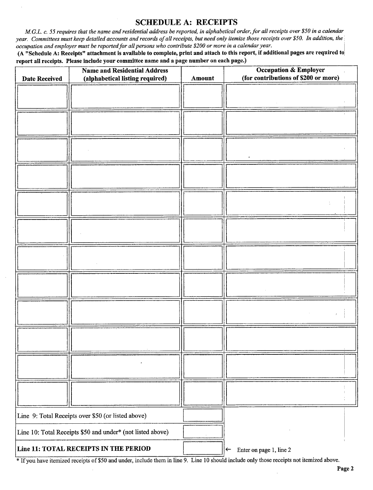## SCHEDULE A: RECEIPTS

M.G.L. c. 55 requires that the name and residential address be reported, in alphabetical order, for all receipts over \$50 in a calendar year. Committees must keep detailed accounts and records of all receipts, but need only itemize those receipts over \$50. In addition, the occupation and employer must be reported for all persons who contribute \$200 or more in a calendar year.

A" Schedule A: Receipts" attachment is available to complete, print and attach to this report, if additional pages are required to report all receipts. Please include your committee name and a page number on each page.)

| ---<br><b>Date Received</b>                                | r o<br><b>Name and Residential Address</b><br>(alphabetical listing required) | Amount | $\cdots$<br><b>Occupation &amp; Employer</b><br>(for contributions of \$200 or more) |
|------------------------------------------------------------|-------------------------------------------------------------------------------|--------|--------------------------------------------------------------------------------------|
|                                                            |                                                                               |        |                                                                                      |
|                                                            |                                                                               |        |                                                                                      |
|                                                            |                                                                               |        |                                                                                      |
|                                                            |                                                                               |        |                                                                                      |
|                                                            |                                                                               |        |                                                                                      |
|                                                            |                                                                               |        |                                                                                      |
|                                                            |                                                                               |        |                                                                                      |
|                                                            |                                                                               |        |                                                                                      |
|                                                            |                                                                               |        |                                                                                      |
|                                                            |                                                                               |        |                                                                                      |
|                                                            |                                                                               |        |                                                                                      |
|                                                            |                                                                               |        |                                                                                      |
|                                                            |                                                                               |        |                                                                                      |
|                                                            |                                                                               |        |                                                                                      |
|                                                            |                                                                               |        |                                                                                      |
|                                                            |                                                                               |        |                                                                                      |
|                                                            |                                                                               |        |                                                                                      |
|                                                            |                                                                               |        |                                                                                      |
|                                                            |                                                                               |        |                                                                                      |
|                                                            |                                                                               |        |                                                                                      |
|                                                            |                                                                               |        |                                                                                      |
|                                                            |                                                                               |        |                                                                                      |
|                                                            |                                                                               |        |                                                                                      |
|                                                            |                                                                               |        |                                                                                      |
| Line 9: Total Receipts over \$50 (or listed above)         |                                                                               |        |                                                                                      |
| Line 10: Total Receipts \$50 and under* (not listed above) |                                                                               |        |                                                                                      |
|                                                            | Line 11: TOTAL RECEIPTS IN THE PERIOD                                         |        | Enter on page 1, line 2<br>$\leftarrow$                                              |

<sup>\*</sup> If you have itemized receipts of \$50 and under, include them in line 9. Line 10 should include only those receipts not itemized above.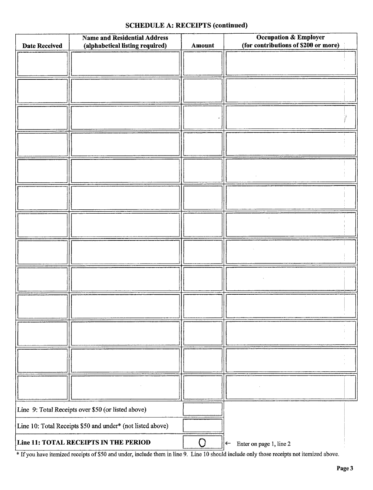### SCHEDULE A: RECEIPTS (continued)

| <b>Date Received</b>                                       | <b>Name and Residential Address</b><br>(alphabetical listing required)<br>Amount |           | <b>Occupation &amp; Employer</b><br>(for contributions of \$200 or more) |  |
|------------------------------------------------------------|----------------------------------------------------------------------------------|-----------|--------------------------------------------------------------------------|--|
|                                                            |                                                                                  |           |                                                                          |  |
|                                                            |                                                                                  |           |                                                                          |  |
|                                                            |                                                                                  |           |                                                                          |  |
|                                                            |                                                                                  |           |                                                                          |  |
|                                                            |                                                                                  |           |                                                                          |  |
|                                                            |                                                                                  |           |                                                                          |  |
|                                                            |                                                                                  |           |                                                                          |  |
|                                                            |                                                                                  |           |                                                                          |  |
|                                                            |                                                                                  |           |                                                                          |  |
|                                                            |                                                                                  |           |                                                                          |  |
|                                                            |                                                                                  |           |                                                                          |  |
|                                                            |                                                                                  |           |                                                                          |  |
|                                                            |                                                                                  |           |                                                                          |  |
|                                                            |                                                                                  |           |                                                                          |  |
|                                                            |                                                                                  |           |                                                                          |  |
|                                                            |                                                                                  |           |                                                                          |  |
|                                                            |                                                                                  |           |                                                                          |  |
|                                                            |                                                                                  |           |                                                                          |  |
|                                                            |                                                                                  |           |                                                                          |  |
|                                                            |                                                                                  |           |                                                                          |  |
|                                                            |                                                                                  |           |                                                                          |  |
|                                                            |                                                                                  |           |                                                                          |  |
|                                                            |                                                                                  |           |                                                                          |  |
| Line 9: Total Receipts over \$50 (or listed above)         |                                                                                  |           |                                                                          |  |
| Line 10: Total Receipts \$50 and under* (not listed above) |                                                                                  |           |                                                                          |  |
|                                                            | Line 11: TOTAL RECEIPTS IN THE PERIOD                                            | $\bigcap$ | Enter on page 1, line 2<br>$\leftarrow$                                  |  |

If you have itemized receipts of \$50 and under, include them in line 9. Line 10 should include only those receipts not itemized above.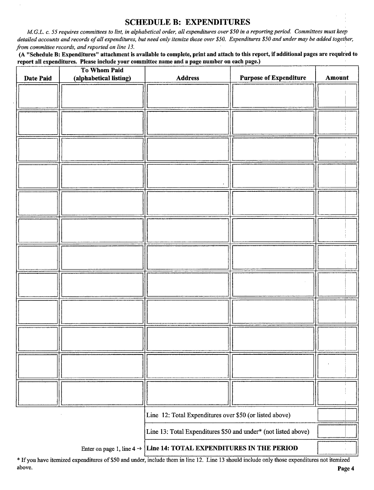#### SCHEDULE B: EXPENDITURES

M.G.L. c. 55 requires committees to list, in alphabetical order, all expenditures over\$ 50 in <sup>a</sup> reporting period. Committees must keep detailed accounts and records of all expenditures, but need only itemize those over \$50. Expenditures \$50 and under may be added together, from committee records, and reported on line 13.

A" Schedule B: Expenditures" attachment is available to complete, print and attach to this report, if additional pages are required to report all expenditures. Please include your committee name and a page number on each page.)

|                                                                                 | To Whom Paid           |                                                                |                               |        |
|---------------------------------------------------------------------------------|------------------------|----------------------------------------------------------------|-------------------------------|--------|
| <b>Date Paid</b>                                                                | (alphabetical listing) | <b>Address</b>                                                 | <b>Purpose of Expenditure</b> | Amount |
|                                                                                 |                        |                                                                |                               |        |
|                                                                                 |                        |                                                                |                               |        |
|                                                                                 |                        |                                                                |                               |        |
|                                                                                 |                        |                                                                |                               |        |
|                                                                                 |                        |                                                                |                               |        |
|                                                                                 |                        |                                                                |                               |        |
|                                                                                 |                        |                                                                |                               |        |
|                                                                                 |                        |                                                                |                               |        |
|                                                                                 |                        |                                                                |                               |        |
|                                                                                 |                        |                                                                |                               |        |
|                                                                                 |                        |                                                                |                               |        |
|                                                                                 |                        |                                                                |                               |        |
|                                                                                 |                        |                                                                |                               |        |
|                                                                                 |                        |                                                                |                               |        |
|                                                                                 |                        |                                                                |                               |        |
|                                                                                 |                        |                                                                |                               |        |
|                                                                                 |                        |                                                                |                               |        |
|                                                                                 |                        |                                                                |                               |        |
|                                                                                 |                        |                                                                |                               |        |
|                                                                                 |                        |                                                                |                               |        |
|                                                                                 |                        |                                                                |                               |        |
|                                                                                 |                        |                                                                |                               |        |
|                                                                                 |                        |                                                                |                               |        |
|                                                                                 |                        |                                                                |                               |        |
|                                                                                 |                        |                                                                |                               |        |
|                                                                                 |                        |                                                                |                               |        |
|                                                                                 |                        |                                                                |                               |        |
|                                                                                 |                        |                                                                |                               |        |
|                                                                                 |                        |                                                                |                               |        |
|                                                                                 |                        |                                                                |                               |        |
|                                                                                 |                        |                                                                |                               |        |
|                                                                                 |                        |                                                                |                               |        |
| Line 12: Total Expenditures over \$50 (or listed above)                         |                        |                                                                |                               |        |
|                                                                                 |                        | Line 13: Total Expenditures \$50 and under* (not listed above) |                               |        |
| Enter on page 1, line $4 \rightarrow$ Line 14: TOTAL EXPENDITURES IN THE PERIOD |                        |                                                                |                               |        |

Ifyou have itemized expenditures of\$ <sup>50</sup> and under, include them in line 12. Line <sup>13</sup> should include only those expenditures not itemized above. **Page 4** and the set of the set of the set of the set of the set of the set of the set of the set of the set of the set of the set of the set of the set of the set of the set of the set of the set of the set of the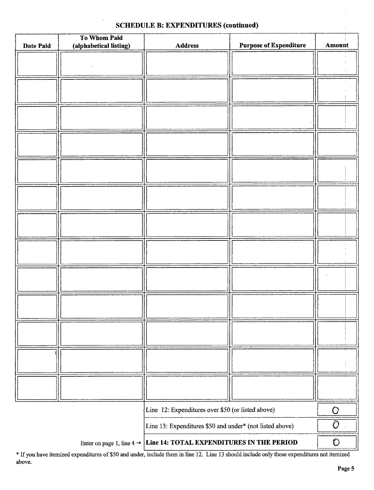# SCHEDULE B: EXPENDITURES (continued)

| Date Paid                                                                       | To Whom Paid<br>(alphabetical listing) | <b>Address</b>                                    | <b>Purpose of Expenditure</b> | Amount      |
|---------------------------------------------------------------------------------|----------------------------------------|---------------------------------------------------|-------------------------------|-------------|
|                                                                                 |                                        |                                                   |                               |             |
|                                                                                 |                                        |                                                   |                               |             |
|                                                                                 |                                        |                                                   |                               |             |
|                                                                                 |                                        |                                                   |                               |             |
|                                                                                 |                                        |                                                   |                               |             |
|                                                                                 |                                        |                                                   |                               |             |
|                                                                                 |                                        |                                                   |                               |             |
|                                                                                 |                                        |                                                   |                               |             |
|                                                                                 |                                        |                                                   |                               |             |
|                                                                                 |                                        |                                                   |                               |             |
|                                                                                 |                                        |                                                   |                               |             |
|                                                                                 |                                        |                                                   |                               |             |
|                                                                                 |                                        |                                                   |                               |             |
|                                                                                 |                                        |                                                   |                               |             |
|                                                                                 |                                        |                                                   |                               |             |
|                                                                                 |                                        |                                                   |                               |             |
|                                                                                 |                                        |                                                   |                               |             |
|                                                                                 |                                        |                                                   |                               |             |
|                                                                                 |                                        |                                                   |                               |             |
|                                                                                 |                                        |                                                   |                               |             |
|                                                                                 |                                        |                                                   |                               |             |
|                                                                                 |                                        |                                                   |                               |             |
|                                                                                 |                                        | Line 12: Expenditures over \$50 (or listed above) |                               | Ō           |
| Line 13: Expenditures \$50 and under* (not listed above)                        |                                        |                                                   | $\overline{O}$                |             |
| Enter on page 1, line $4 \rightarrow$ Line 14: TOTAL EXPENDITURES IN THE PERIOD |                                        |                                                   |                               | $\mathbf O$ |

If you have itemized expenditures of \$50 and under, include them in line 12. Line 13 should include only those expenditures not itemized above.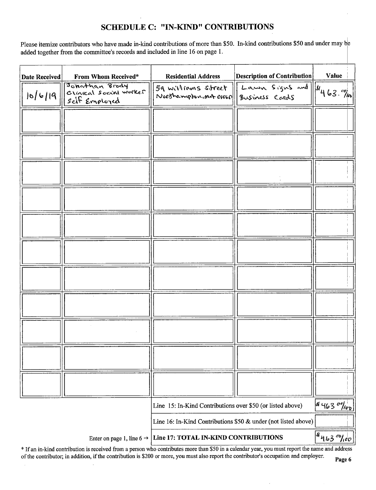## SCHEDULE C: "IN-KIND" CONTRIBUTIONS

Please itemize contributors who have made in-kind contributions of more than \$50. In-kind contributions \$50 and under may be added together from the committee's records and included in line 16 on page 1.

| <b>Date Received</b> | From Whom Received*                                       | <b>Residential Address</b>                                       | <b>Description of Contribution</b>                                                                                                                                                                                                                                                                                       | Value                 |
|----------------------|-----------------------------------------------------------|------------------------------------------------------------------|--------------------------------------------------------------------------------------------------------------------------------------------------------------------------------------------------------------------------------------------------------------------------------------------------------------------------|-----------------------|
| 0/6 19               | Johathan Brody<br>Clinical Social worker<br>self Employed | 59 williams street   <br>Northampton, mot oroso / Business Cards | $\frac{D_{22}}{L_{23}}$ $\frac{1}{2}$ $\frac{1}{2}$ $\frac{1}{2}$ $\frac{1}{2}$ $\frac{1}{2}$ $\frac{1}{2}$ $\frac{1}{2}$ $\frac{1}{2}$ $\frac{1}{2}$ $\frac{1}{2}$ $\frac{1}{2}$ $\frac{1}{2}$ $\frac{1}{2}$ $\frac{1}{2}$ $\frac{1}{2}$ $\frac{1}{2}$ $\frac{1}{2}$ $\frac{1}{2}$ $\frac{1}{2}$ $\frac{1}{2}$ $\frac{$ |                       |
|                      |                                                           |                                                                  |                                                                                                                                                                                                                                                                                                                          |                       |
|                      |                                                           |                                                                  |                                                                                                                                                                                                                                                                                                                          |                       |
|                      |                                                           |                                                                  |                                                                                                                                                                                                                                                                                                                          |                       |
|                      |                                                           |                                                                  |                                                                                                                                                                                                                                                                                                                          |                       |
|                      |                                                           |                                                                  |                                                                                                                                                                                                                                                                                                                          |                       |
|                      |                                                           |                                                                  |                                                                                                                                                                                                                                                                                                                          |                       |
|                      |                                                           |                                                                  |                                                                                                                                                                                                                                                                                                                          |                       |
|                      |                                                           |                                                                  |                                                                                                                                                                                                                                                                                                                          |                       |
|                      |                                                           |                                                                  |                                                                                                                                                                                                                                                                                                                          |                       |
|                      |                                                           |                                                                  |                                                                                                                                                                                                                                                                                                                          |                       |
|                      |                                                           |                                                                  |                                                                                                                                                                                                                                                                                                                          |                       |
|                      |                                                           | Line 15: In-Kind Contributions over \$50 (or listed above)       |                                                                                                                                                                                                                                                                                                                          | 46300/100             |
|                      |                                                           | Line 16: In-Kind Contributions \$50 & under (not listed above)   |                                                                                                                                                                                                                                                                                                                          |                       |
|                      | Enter on page 1, line 6 $\rightarrow$                     | Line 17: TOTAL IN-KIND CONTRIBUTIONS                             |                                                                                                                                                                                                                                                                                                                          | $ a_{163} - a_{160} $ |

If an in-kind contribution is received from <sup>a</sup> person who contributes more than\$ <sup>50</sup> in <sup>a</sup> calendar year, you must report the name and address of the contributor; in addition, if the contribution is \$200 or more, you must also report the contributor's occupation and employer.

 $\sim$